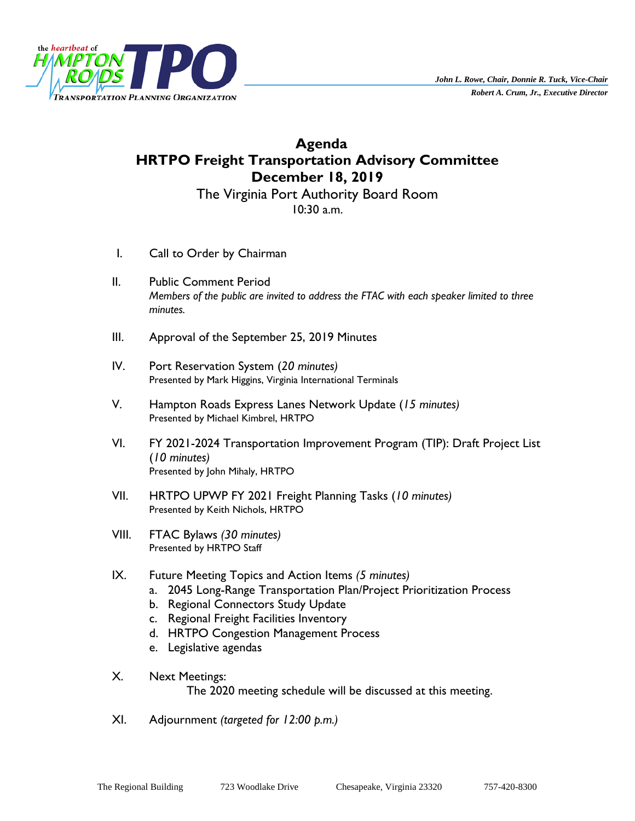

# **Agenda HRTPO Freight Transportation Advisory Committee December 18, 2019**

The Virginia Port Authority Board Room 10:30 a.m.

- I. Call to Order by Chairman
- II. Public Comment Period *Members of the public are invited to address the FTAC with each speaker limited to three minutes.*
- III. Approval of the September 25, 2019 Minutes
- IV. Port Reservation System (*20 minutes)* Presented by Mark Higgins, Virginia International Terminals
- V. Hampton Roads Express Lanes Network Update (*15 minutes)* Presented by Michael Kimbrel, HRTPO
- VI. FY 2021-2024 Transportation Improvement Program (TIP): Draft Project List (*10 minutes)* Presented by John Mihaly, HRTPO
- VII. HRTPO UPWP FY 2021 Freight Planning Tasks (*10 minutes)* Presented by Keith Nichols, HRTPO
- VIII. FTAC Bylaws *(30 minutes)* Presented by HRTPO Staff
- IX. Future Meeting Topics and Action Items *(5 minutes)*
	- a. 2045 Long-Range Transportation Plan/Project Prioritization Process
	- b. Regional Connectors Study Update
	- c. Regional Freight Facilities Inventory
	- d. HRTPO Congestion Management Process
	- e. Legislative agendas
- X. Next Meetings: The 2020 meeting schedule will be discussed at this meeting.
- XI. Adjournment *(targeted for 12:00 p.m.)*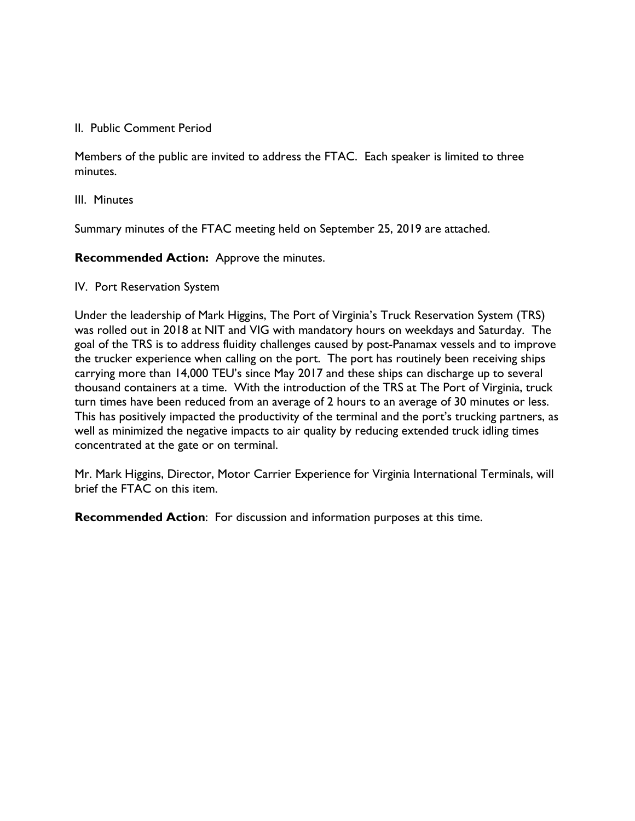### II. Public Comment Period

Members of the public are invited to address the FTAC. Each speaker is limited to three minutes.

### III. Minutes

Summary minutes of the FTAC meeting held on September 25, 2019 are attached.

**Recommended Action:** Approve the minutes.

### IV. Port Reservation System

Under the leadership of Mark Higgins, The Port of Virginia's Truck Reservation System (TRS) was rolled out in 2018 at NIT and VIG with mandatory hours on weekdays and Saturday. The goal of the TRS is to address fluidity challenges caused by post-Panamax vessels and to improve the trucker experience when calling on the port. The port has routinely been receiving ships carrying more than 14,000 TEU's since May 2017 and these ships can discharge up to several thousand containers at a time. With the introduction of the TRS at The Port of Virginia, truck turn times have been reduced from an average of 2 hours to an average of 30 minutes or less. This has positively impacted the productivity of the terminal and the port's trucking partners, as well as minimized the negative impacts to air quality by reducing extended truck idling times concentrated at the gate or on terminal.

Mr. Mark Higgins, Director, Motor Carrier Experience for Virginia International Terminals, will brief the FTAC on this item.

**Recommended Action**: For discussion and information purposes at this time.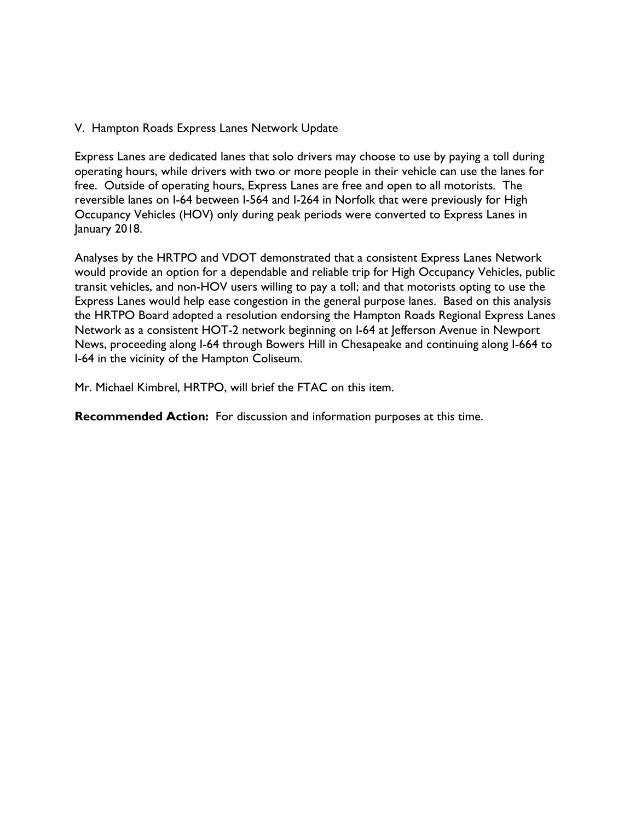V. Hampton Roads Express Lanes Network Update

Express Lanes are dedicated lanes that solo drivers may choose to use by paying a toll during operating hours, while drivers with two or more people in their vehicle can use the lanes for free. Outside of operating hours, Express Lanes are free and open to all motorists. The reversible lanes on I-64 between I-564 and I-264 in Norfolk that were previously for High Occupancy Vehicles (HOV) only during peak periods were converted to Express Lanes in January 2018.

Analyses by the HRTPO and VDOT demonstrated that a consistent Express Lanes Network would provide an option for a dependable and reliable trip for High Occupancy Vehicles, public transit vehicles, and non-HOV users willing to pay a toll; and that motorists opting to use the Express Lanes would help ease congestion in the general purpose lanes. Based on this analysis the HRTPO Board adopted a resolution endorsing the Hampton Roads Regional Express Lanes Network as a consistent HOT-2 network beginning on I-64 at Jefferson Avenue in Newport News, proceeding along I-64 through Bowers Hill in Chesapeake and continuing along I-664 to I-64 in the vicinity of the Hampton Coliseum.

Mr. Michael Kimbrel, HRTPO, will brief the FTAC on this item.

**Recommended Action:** For discussion and information purposes at this time.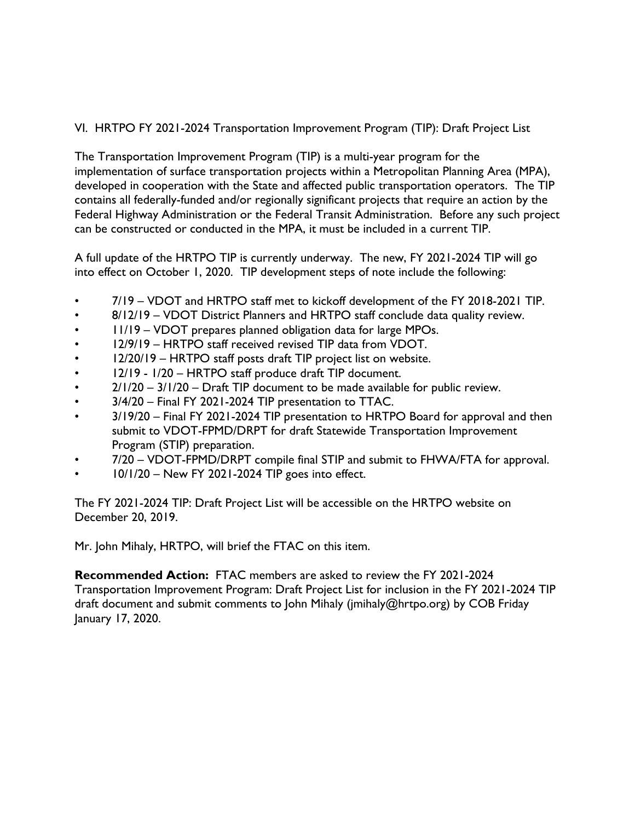VI. HRTPO FY 2021-2024 Transportation Improvement Program (TIP): Draft Project List

The Transportation Improvement Program (TIP) is a multi-year program for the implementation of surface transportation projects within a Metropolitan Planning Area (MPA), developed in cooperation with the State and affected public transportation operators. The TIP contains all federally-funded and/or regionally significant projects that require an action by the Federal Highway Administration or the Federal Transit Administration. Before any such project can be constructed or conducted in the MPA, it must be included in a current TIP.

A full update of the HRTPO TIP is currently underway. The new, FY 2021-2024 TIP will go into effect on October 1, 2020. TIP development steps of note include the following:

- 7/19 VDOT and HRTPO staff met to kickoff development of the FY 2018-2021 TIP.
- 8/12/19 VDOT District Planners and HRTPO staff conclude data quality review.
- 11/19 VDOT prepares planned obligation data for large MPOs.
- 12/9/19 HRTPO staff received revised TIP data from VDOT.
- 12/20/19 HRTPO staff posts draft TIP project list on website.
- 12/19 1/20 HRTPO staff produce draft TIP document.
- $2/1/20 3/1/20 -$  Draft TIP document to be made available for public review.
- 3/4/20 Final FY 2021-2024 TIP presentation to TTAC.
- 3/19/20 Final FY 2021-2024 TIP presentation to HRTPO Board for approval and then submit to VDOT-FPMD/DRPT for draft Statewide Transportation Improvement Program (STIP) preparation.
- 7/20 VDOT-FPMD/DRPT compile final STIP and submit to FHWA/FTA for approval.
- 10/1/20 New FY 2021-2024 TIP goes into effect.

The FY 2021-2024 TIP: Draft Project List will be accessible on the HRTPO website on December 20, 2019.

Mr. John Mihaly, HRTPO, will brief the FTAC on this item.

**Recommended Action:** FTAC members are asked to review the FY 2021-2024 Transportation Improvement Program: Draft Project List for inclusion in the FY 2021-2024 TIP draft document and submit comments to John Mihaly (jmihaly@hrtpo.org) by COB Friday January 17, 2020.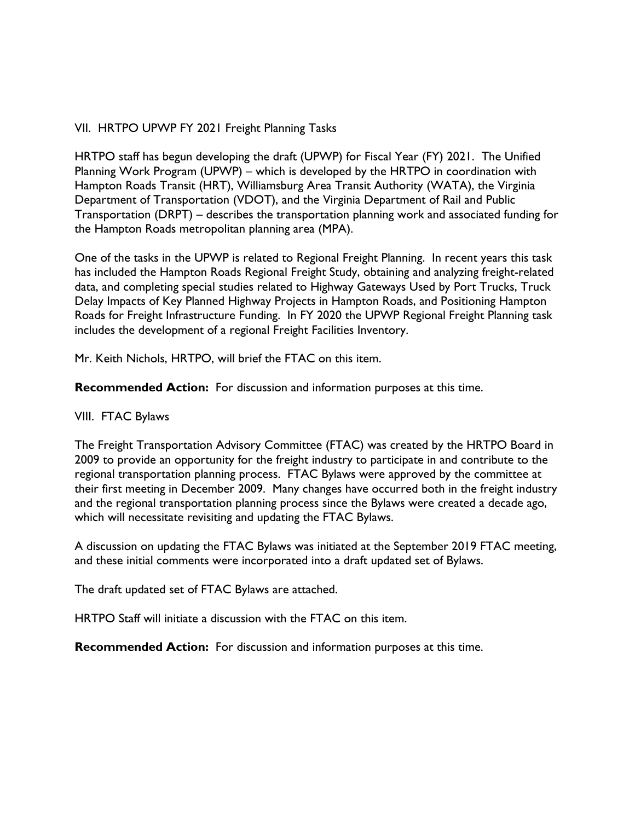## VII. HRTPO UPWP FY 2021 Freight Planning Tasks

HRTPO staff has begun developing the draft (UPWP) for Fiscal Year (FY) 2021. The Unified Planning Work Program (UPWP) – which is developed by the HRTPO in coordination with Hampton Roads Transit (HRT), Williamsburg Area Transit Authority (WATA), the Virginia Department of Transportation (VDOT), and the Virginia Department of Rail and Public Transportation (DRPT) – describes the transportation planning work and associated funding for the Hampton Roads metropolitan planning area (MPA).

One of the tasks in the UPWP is related to Regional Freight Planning. In recent years this task has included the Hampton Roads Regional Freight Study, obtaining and analyzing freight-related data, and completing special studies related to Highway Gateways Used by Port Trucks, Truck Delay Impacts of Key Planned Highway Projects in Hampton Roads, and Positioning Hampton Roads for Freight Infrastructure Funding. In FY 2020 the UPWP Regional Freight Planning task includes the development of a regional Freight Facilities Inventory.

Mr. Keith Nichols, HRTPO, will brief the FTAC on this item.

**Recommended Action:** For discussion and information purposes at this time.

## VIII. FTAC Bylaws

The Freight Transportation Advisory Committee (FTAC) was created by the HRTPO Board in 2009 to provide an opportunity for the freight industry to participate in and contribute to the regional transportation planning process. FTAC Bylaws were approved by the committee at their first meeting in December 2009. Many changes have occurred both in the freight industry and the regional transportation planning process since the Bylaws were created a decade ago, which will necessitate revisiting and updating the FTAC Bylaws.

A discussion on updating the FTAC Bylaws was initiated at the September 2019 FTAC meeting, and these initial comments were incorporated into a draft updated set of Bylaws.

The draft updated set of FTAC Bylaws are attached.

HRTPO Staff will initiate a discussion with the FTAC on this item.

**Recommended Action:** For discussion and information purposes at this time.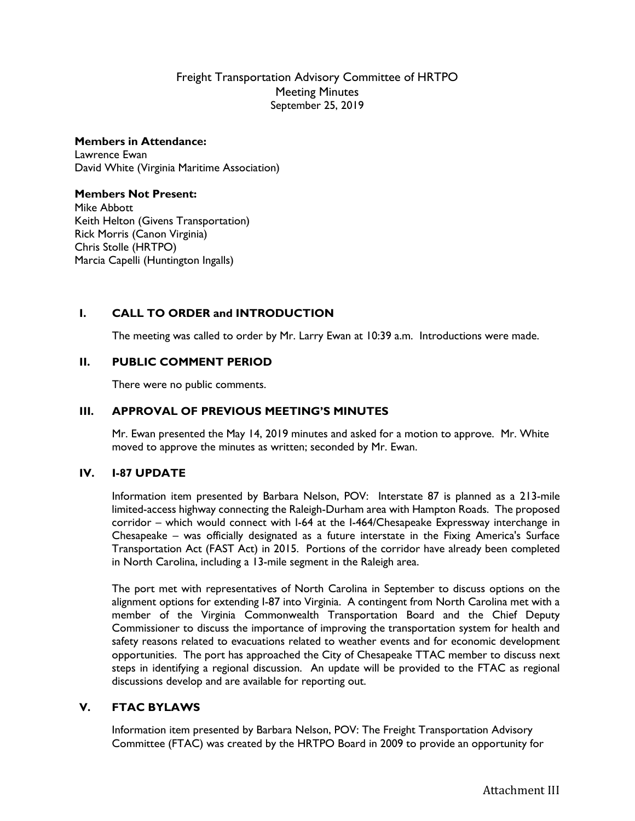## Freight Transportation Advisory Committee of HRTPO Meeting Minutes September 25, 2019

#### **Members in Attendance:**

Lawrence Ewan David White (Virginia Maritime Association)

#### **Members Not Present:**

Mike Abbott Keith Helton (Givens Transportation) Rick Morris (Canon Virginia) Chris Stolle (HRTPO) Marcia Capelli (Huntington Ingalls)

## **I. CALL TO ORDER and INTRODUCTION**

The meeting was called to order by Mr. Larry Ewan at 10:39 a.m. Introductions were made.

### **II. PUBLIC COMMENT PERIOD**

There were no public comments.

### **III. APPROVAL OF PREVIOUS MEETING'S MINUTES**

Mr. Ewan presented the May 14, 2019 minutes and asked for a motion to approve. Mr. White moved to approve the minutes as written; seconded by Mr. Ewan.

#### **IV. I-87 UPDATE**

Information item presented by Barbara Nelson, POV: Interstate 87 is planned as a 213-mile limited-access highway connecting the Raleigh-Durham area with Hampton Roads. The proposed corridor – which would connect with I-64 at the I-464/Chesapeake Expressway interchange in Chesapeake – was officially designated as a future interstate in the Fixing America's Surface Transportation Act (FAST Act) in 2015. Portions of the corridor have already been completed in North Carolina, including a 13-mile segment in the Raleigh area.

The port met with representatives of North Carolina in September to discuss options on the alignment options for extending I-87 into Virginia. A contingent from North Carolina met with a member of the Virginia Commonwealth Transportation Board and the Chief Deputy Commissioner to discuss the importance of improving the transportation system for health and safety reasons related to evacuations related to weather events and for economic development opportunities. The port has approached the City of Chesapeake TTAC member to discuss next steps in identifying a regional discussion. An update will be provided to the FTAC as regional discussions develop and are available for reporting out.

### **V. FTAC BYLAWS**

Information item presented by Barbara Nelson, POV: The Freight Transportation Advisory Committee (FTAC) was created by the HRTPO Board in 2009 to provide an opportunity for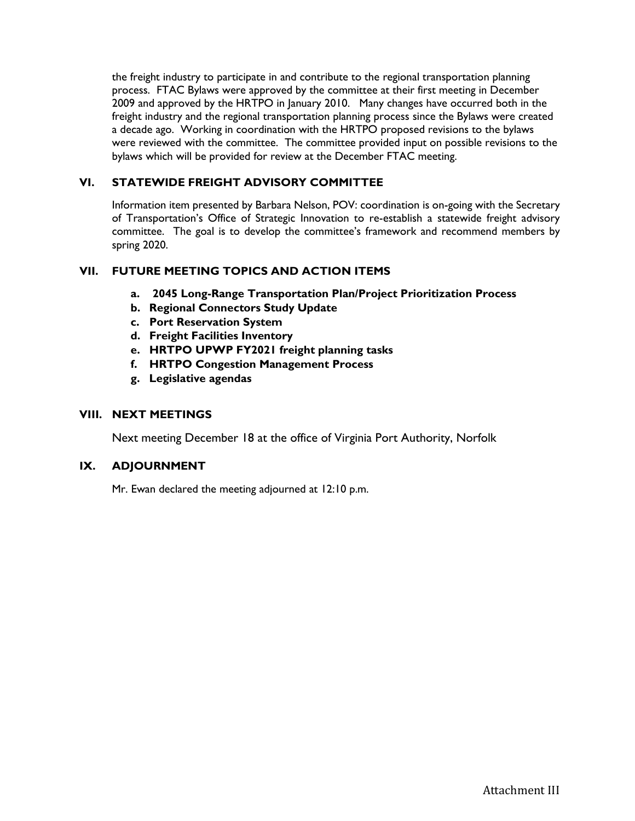the freight industry to participate in and contribute to the regional transportation planning process. FTAC Bylaws were approved by the committee at their first meeting in December 2009 and approved by the HRTPO in January 2010. Many changes have occurred both in the freight industry and the regional transportation planning process since the Bylaws were created a decade ago. Working in coordination with the HRTPO proposed revisions to the bylaws were reviewed with the committee. The committee provided input on possible revisions to the bylaws which will be provided for review at the December FTAC meeting.

## **VI. STATEWIDE FREIGHT ADVISORY COMMITTEE**

Information item presented by Barbara Nelson, POV: coordination is on-going with the Secretary of Transportation's Office of Strategic Innovation to re-establish a statewide freight advisory committee. The goal is to develop the committee's framework and recommend members by spring 2020.

### **VII. FUTURE MEETING TOPICS AND ACTION ITEMS**

- **a. 2045 Long-Range Transportation Plan/Project Prioritization Process**
- **b. Regional Connectors Study Update**
- **c. Port Reservation System**
- **d. Freight Facilities Inventory**
- **e. HRTPO UPWP FY2021 freight planning tasks**
- **f. HRTPO Congestion Management Process**
- **g. Legislative agendas**

#### **VIII. NEXT MEETINGS**

Next meeting December 18 at the office of Virginia Port Authority, Norfolk

### **IX. ADJOURNMENT**

Mr. Ewan declared the meeting adjourned at 12:10 p.m.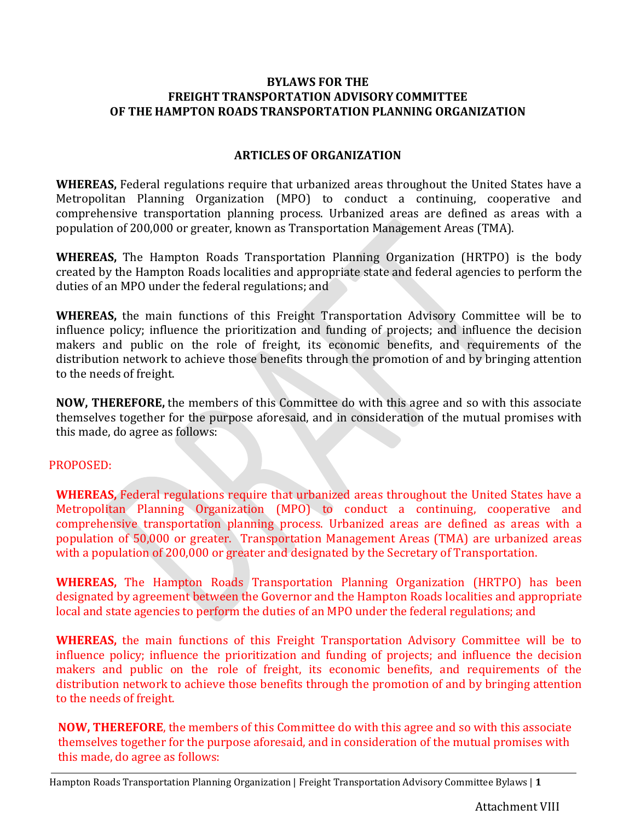## **BYLAWS FOR THE FREIGHT TRANSPORTATION ADVISORY COMMITTEE OF THE HAMPTON ROADS TRANSPORTATION PLANNING ORGANIZATION**

## **ARTICLESOF ORGANIZATION**

**WHEREAS,** Federal regulations require that urbanized areas throughout the United States have a Metropolitan Planning Organization (MPO) to conduct a continuing, cooperative and comprehensive transportation planning process. Urbanized areas are defined as areas with a population of 200,000 or greater, known as Transportation Management Areas (TMA).

**WHEREAS,** The Hampton Roads Transportation Planning Organization (HRTPO) is the body created by the Hampton Roads localities and appropriate state and federal agencies to perform the duties of an MPO under the federal regulations; and

**WHEREAS,** the main functions of this Freight Transportation Advisory Committee will be to influence policy; influence the prioritization and funding of projects; and influence the decision makers and public on the role of freight, its economic benefits, and requirements of the distribution network to achieve those benefits through the promotion of and by bringing attention to the needs of freight.

**NOW, THEREFORE,** the members of this Committee do with this agree and so with this associate themselves together for the purpose aforesaid, and in consideration of the mutual promises with this made, do agree as follows:

## PROPOSED:

**WHEREAS,** Federal regulations require that urbanized areas throughout the United States have a Metropolitan Planning Organization (MPO) to conduct a continuing, cooperative and comprehensive transportation planning process. Urbanized areas are defined as areas with a population of 50,000 or greater. Transportation Management Areas (TMA) are urbanized areas with a population of 200,000 or greater and designated by the Secretary of Transportation.

**WHEREAS,** The Hampton Roads Transportation Planning Organization (HRTPO) has been designated by agreement between the Governor and the Hampton Roads localities and appropriate local and state agencies to perform the duties of an MPO under the federal regulations; and

**WHEREAS,** the main functions of this Freight Transportation Advisory Committee will be to influence policy; influence the prioritization and funding of projects; and influence the decision makers and public on the role of freight, its economic benefits, and requirements of the distribution network to achieve those benefits through the promotion of and by bringing attention to the needs of freight.

**NOW, THEREFORE**, the members of this Committee do with this agree and so with this associate themselves together for the purpose aforesaid, and in consideration of the mutual promises with this made, do agree as follows:

Hampton Roads Transportation Planning Organization | Freight Transportation Advisory Committee Bylaws | **1**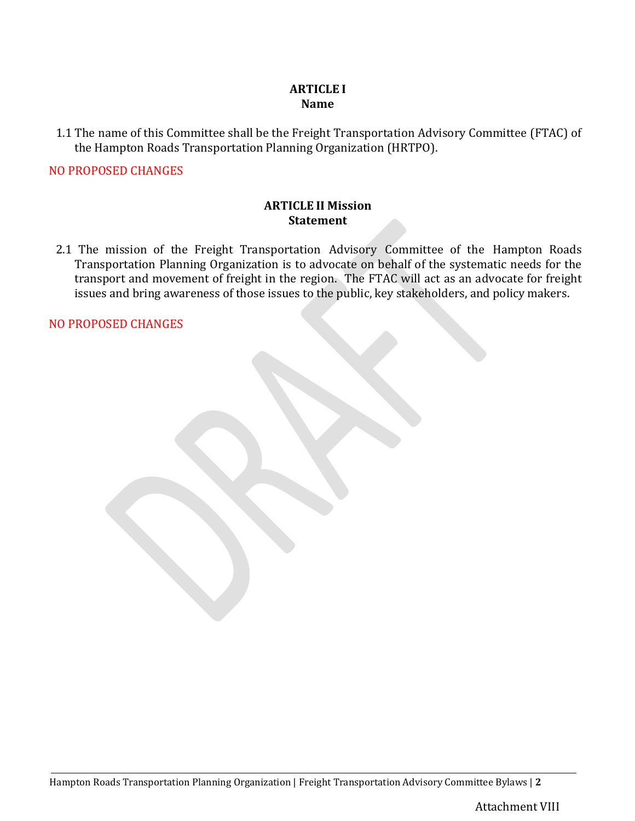## **ARTICLE I Name**

1.1 The name of this Committee shall be the Freight Transportation Advisory Committee (FTAC) of the Hampton Roads Transportation Planning Organization (HRTPO).

## NO PROPOSED CHANGES

## **ARTICLE II Mission Statement**

2.1 The mission of the Freight Transportation Advisory Committee of the Hampton Roads Transportation Planning Organization is to advocate on behalf of the systematic needs for the transport and movement of freight in the region. The FTAC will act as an advocate for freight issues and bring awareness of those issues to the public, key stakeholders, and policy makers.

NO PROPOSED CHANGES

Hampton Roads Transportation Planning Organization | Freight Transportation Advisory Committee Bylaws | **2**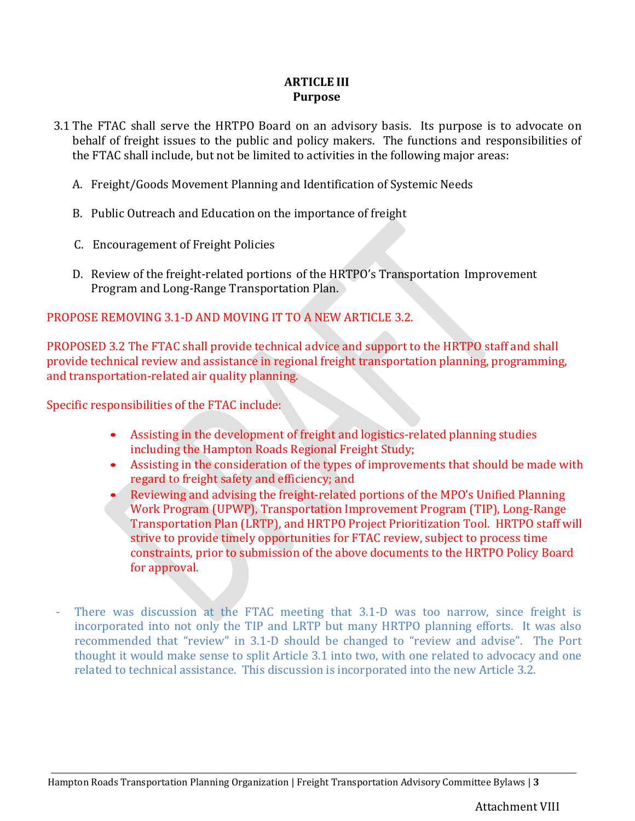## **ARTICLE III Purpose**

- 3.1 The FTAC shall serve the HRTPO Board on an advisory basis. Its purpose is to advocate on behalf of freight issues to the public and policy makers. The functions and responsibilities of the FTAC shall include, but not be limited to activities in the following major areas:
	- A. Freight/Goods Movement Planning and Identification of Systemic Needs
	- B. Public Outreach and Education on the importance of freight
	- C. Encouragement of Freight Policies
	- D. Review of the freight-related portions of the HRTPO's Transportation Improvement Program and Long-Range Transportation Plan.

# PROPOSE REMOVING 3.1-D AND MOVING IT TO A NEW ARTICLE 3.2.

PROPOSED 3.2 The FTAC shall provide technical advice and support to the HRTPO staff and shall provide technical review and assistance in regional freight transportation planning, programming, and transportation-related air quality planning.

Specific responsibilities of the FTAC include:

- Assisting in the development of freight and logistics-related planning studies including the Hampton Roads Regional Freight Study;
- Assisting in the consideration of the types of improvements that should be made with regard to freight safety and efficiency; and
- Reviewing and advising the freight-related portions of the MPO's Unified Planning Work Program (UPWP), Transportation Improvement Program (TIP), Long-Range Transportation Plan (LRTP), and HRTPO Project Prioritization Tool. HRTPO staff will strive to provide timely opportunities for FTAC review, subject to process time constraints, prior to submission of the above documents to the HRTPO Policy Board for approval.
- There was discussion at the FTAC meeting that 3.1-D was too narrow, since freight is incorporated into not only the TIP and LRTP but many HRTPO planning efforts. It was also recommended that "review" in 3.1-D should be changed to "review and advise". The Port thought it would make sense to split Article 3.1 into two, with one related to advocacy and one related to technical assistance. This discussion is incorporated into the new Article 3.2.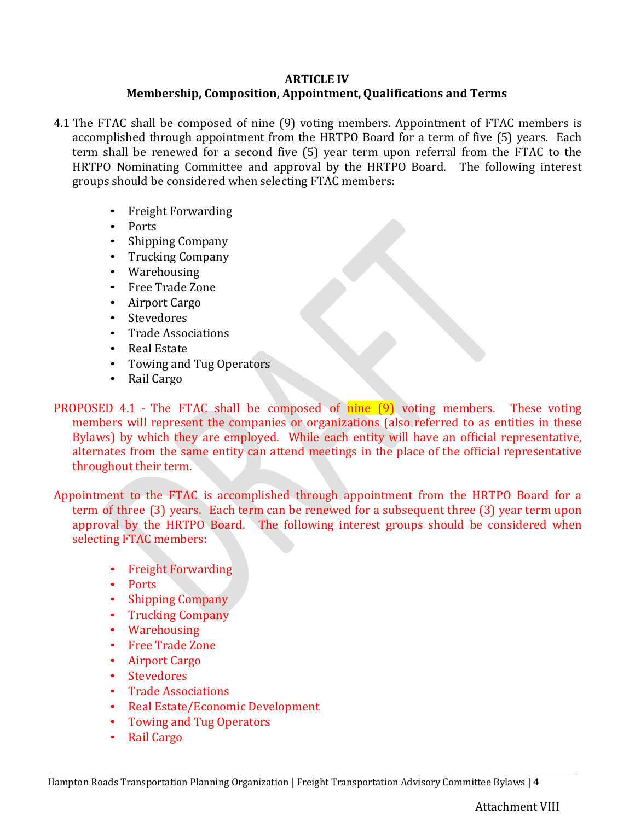## **ARTICLE IV**

# **Membership, Composition, Appointment, Qualifications and Terms**

- 4.1 The FTAC shall be composed of nine (9) voting members. Appointment of FTAC members is accomplished through appointment from the HRTPO Board for a term of five (5) years. Each term shall be renewed for a second five (5) year term upon referral from the FTAC to the HRTPO Nominating Committee and approval by the HRTPO Board. The following interest groups should be considered when selecting FTAC members:
	- Freight Forwarding
	- Ports
	- Shipping Company
	- Trucking Company
	- Warehousing
	- Free Trade Zone
	- Airport Cargo
	- Stevedores
	- Trade Associations
	- Real Estate
	- Towing and Tug Operators
	- Rail Cargo

PROPOSED 4.1 - The FTAC shall be composed of nine (9) voting members. These voting members will represent the companies or organizations (also referred to as entities in these Bylaws) by which they are employed. While each entity will have an official representative, alternates from the same entity can attend meetings in the place of the official representative throughout their term.

Appointment to the FTAC is accomplished through appointment from the HRTPO Board for a term of three (3) years. Each term can be renewed for a subsequent three (3) year term upon approval by the HRTPO Board. The following interest groups should be considered when selecting FTAC members:

- Freight Forwarding
- Ports
- Shipping Company
- Trucking Company
- Warehousing
- Free Trade Zone
- Airport Cargo
- Stevedores
- Trade Associations
- Real Estate/Economic Development
- Towing and Tug Operators
- Rail Cargo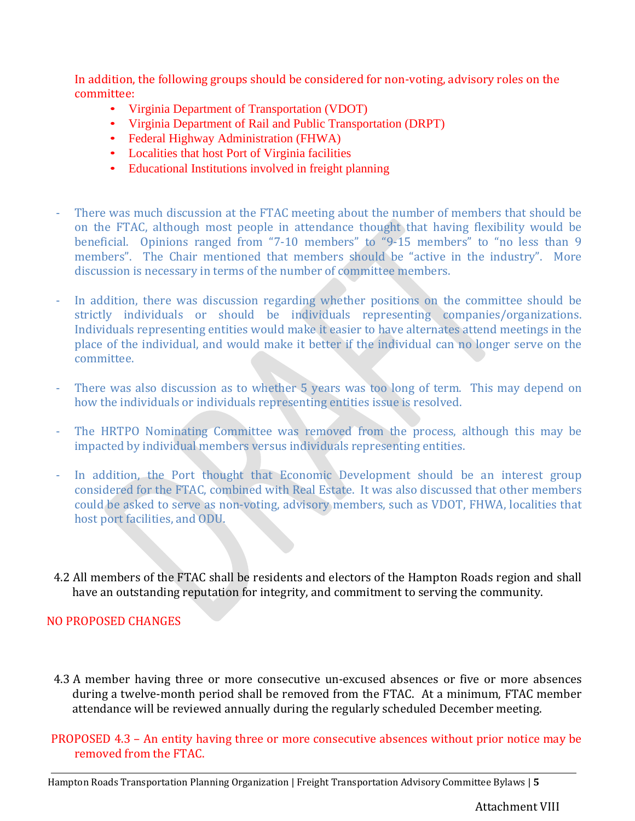In addition, the following groups should be considered for non-voting, advisory roles on the committee:

- Virginia Department of Transportation (VDOT)
- Virginia Department of Rail and Public Transportation (DRPT)
- Federal Highway Administration (FHWA)
- Localities that host Port of Virginia facilities
- Educational Institutions involved in freight planning
- There was much discussion at the FTAC meeting about the number of members that should be on the FTAC, although most people in attendance thought that having flexibility would be beneficial. Opinions ranged from "7-10 members" to "9-15 members" to "no less than 9 members". The Chair mentioned that members should be "active in the industry". More discussion is necessary in terms of the number of committee members.
- In addition, there was discussion regarding whether positions on the committee should be strictly individuals or should be individuals representing companies/organizations. Individuals representing entities would make it easier to have alternates attend meetings in the place of the individual, and would make it better if the individual can no longer serve on the committee.
- There was also discussion as to whether 5 years was too long of term. This may depend on how the individuals or individuals representing entities issue is resolved.
- The HRTPO Nominating Committee was removed from the process, although this may be impacted by individual members versus individuals representing entities.
- In addition, the Port thought that Economic Development should be an interest group considered for the FTAC, combined with Real Estate. It was also discussed that other members could be asked to serve as non-voting, advisory members, such as VDOT, FHWA, localities that host port facilities, and ODU.
- 4.2 All members of the FTAC shall be residents and electors of the Hampton Roads region and shall have an outstanding reputation for integrity, and commitment to serving the community.

# NO PROPOSED CHANGES

4.3 A member having three or more consecutive un‐excused absences or five or more absences during a twelve‐month period shall be removed from the FTAC. At a minimum, FTAC member attendance will be reviewed annually during the regularly scheduled December meeting.

PROPOSED 4.3 – An entity having three or more consecutive absences without prior notice may be removed from the FTAC.

Hampton Roads Transportation Planning Organization | Freight Transportation Advisory Committee Bylaws | **5**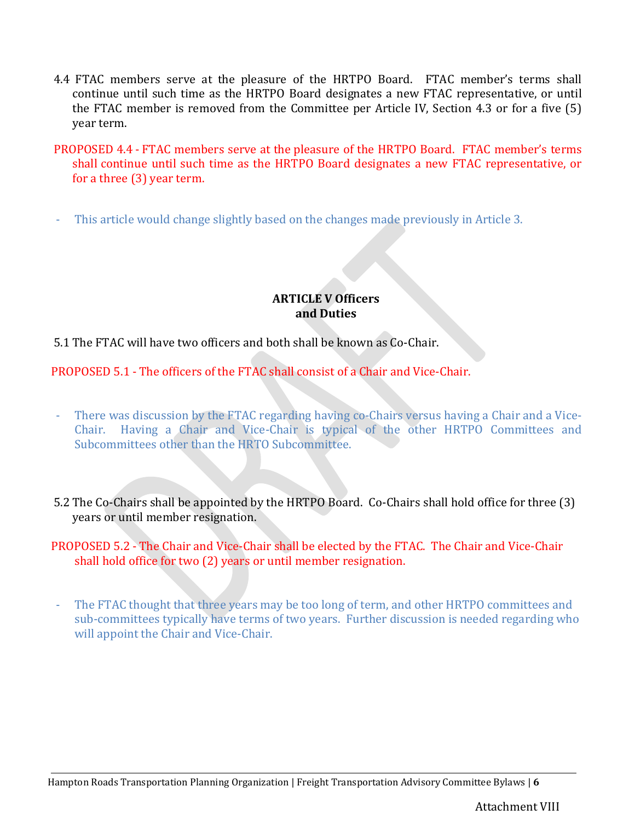- 4.4 FTAC members serve at the pleasure of the HRTPO Board. FTAC member's terms shall continue until such time as the HRTPO Board designates a new FTAC representative, or until the FTAC member is removed from the Committee per Article IV, Section 4.3 or for a five (5) year term.
- PROPOSED 4.4 FTAC members serve at the pleasure of the HRTPO Board. FTAC member's terms shall continue until such time as the HRTPO Board designates a new FTAC representative, or for a three (3) year term.
- This article would change slightly based on the changes made previously in Article 3.

## **ARTICLE V Officers and Duties**

# 5.1 The FTAC will have two officers and both shall be known as Co‐Chair.

PROPOSED 5.1 - The officers of the FTAC shall consist of a Chair and Vice-Chair.

- There was discussion by the FTAC regarding having co-Chairs versus having a Chair and a Vice-Chair. Having a Chair and Vice-Chair is typical of the other HRTPO Committees and Subcommittees other than the HRTO Subcommittee.
- 5.2 The Co-Chairs shall be appointed by the HRTPO Board. Co-Chairs shall hold office for three (3) years or until member resignation.
- PROPOSED 5.2 The Chair and Vice-Chair shall be elected by the FTAC. The Chair and Vice-Chair shall hold office for two (2) years or until member resignation.
- The FTAC thought that three years may be too long of term, and other HRTPO committees and sub-committees typically have terms of two years. Further discussion is needed regarding who will appoint the Chair and Vice-Chair.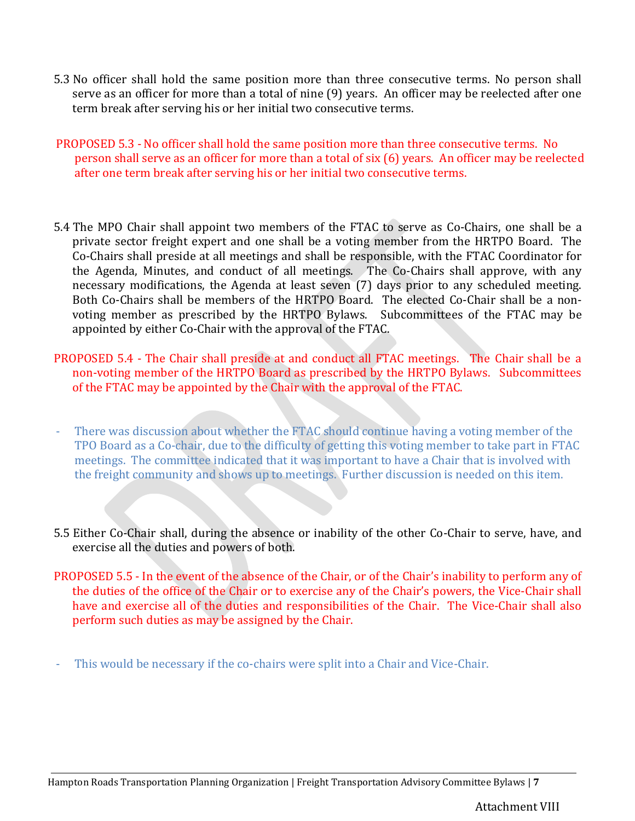- 5.3 No officer shall hold the same position more than three consecutive terms. No person shall serve as an officer for more than a total of nine (9) years. An officer may be reelected after one term break after serving his or her initial two consecutive terms.
- PROPOSED 5.3 No officer shall hold the same position more than three consecutive terms. No person shall serve as an officer for more than a total of six (6) years. An officer may be reelected after one term break after serving his or her initial two consecutive terms.
- 5.4 The MPO Chair shall appoint two members of the FTAC to serve as Co-Chairs, one shall be a private sector freight expert and one shall be a voting member from the HRTPO Board. The Co‐Chairs shall preside at all meetings and shall be responsible, with the FTAC Coordinator for the Agenda, Minutes, and conduct of all meetings. The Co‐Chairs shall approve, with any necessary modifications, the Agenda at least seven (7) days prior to any scheduled meeting. Both Co-Chairs shall be members of the HRTPO Board. The elected Co-Chair shall be a nonvoting member as prescribed by the HRTPO Bylaws. Subcommittees of the FTAC may be appointed by either Co‐Chair with the approval of the FTAC.
- PROPOSED 5.4 The Chair shall preside at and conduct all FTAC meetings. The Chair shall be a non‐voting member of the HRTPO Board as prescribed by the HRTPO Bylaws. Subcommittees of the FTAC may be appointed by the Chair with the approval of the FTAC.
- There was discussion about whether the FTAC should continue having a voting member of the TPO Board as a Co-chair, due to the difficulty of getting this voting member to take part in FTAC meetings. The committee indicated that it was important to have a Chair that is involved with the freight community and shows up to meetings. Further discussion is needed on this item.
- 5.5 Either Co‐Chair shall, during the absence or inability of the other Co‐Chair to serve, have, and exercise all the duties and powers of both.
- PROPOSED 5.5 In the event of the absence of the Chair, or of the Chair's inability to perform any of the duties of the office of the Chair or to exercise any of the Chair's powers, the Vice-Chair shall have and exercise all of the duties and responsibilities of the Chair. The Vice-Chair shall also perform such duties as may be assigned by the Chair.
- This would be necessary if the co-chairs were split into a Chair and Vice-Chair.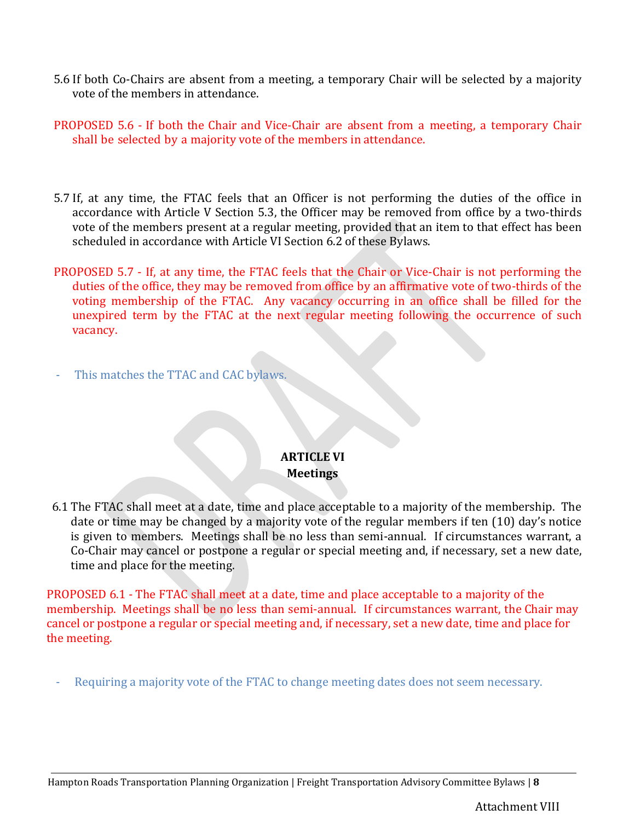- 5.6 If both Co-Chairs are absent from a meeting, a temporary Chair will be selected by a majority vote of the members in attendance.
- PROPOSED 5.6 If both the Chair and Vice-Chair are absent from a meeting, a temporary Chair shall be selected by a majority vote of the members in attendance.
- 5.7 If, at any time, the FTAC feels that an Officer is not performing the duties of the office in accordance with Article V Section 5.3, the Officer may be removed from office by a two-thirds vote of the members present at a regular meeting, provided that an item to that effect has been scheduled in accordance with Article VI Section 6.2 of these Bylaws.
- PROPOSED 5.7 If, at any time, the FTAC feels that the Chair or Vice-Chair is not performing the duties of the office, they may be removed from office by an affirmative vote of two‐thirds of the voting membership of the FTAC. Any vacancy occurring in an office shall be filled for the unexpired term by the FTAC at the next regular meeting following the occurrence of such vacancy.
- This matches the TTAC and CAC bylaws.

# **ARTICLE VI Meetings**

6.1 The FTAC shall meet at a date, time and place acceptable to a majority of the membership. The date or time may be changed by a majority vote of the regular members if ten (10) day's notice is given to members. Meetings shall be no less than semi‐annual. If circumstances warrant, a Co‐Chair may cancel or postpone a regular or special meeting and, if necessary, set a new date, time and place for the meeting.

PROPOSED 6.1 - The FTAC shall meet at a date, time and place acceptable to a majority of the membership. Meetings shall be no less than semi-annual. If circumstances warrant, the Chair may cancel or postpone a regular or special meeting and, if necessary, set a new date, time and place for the meeting.

Requiring a majority vote of the FTAC to change meeting dates does not seem necessary.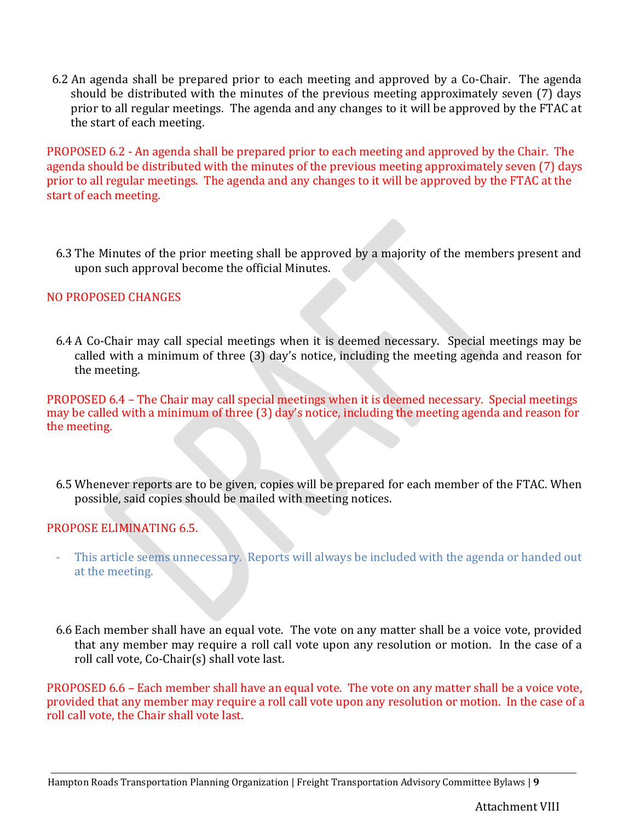6.2 An agenda shall be prepared prior to each meeting and approved by a Co‐Chair. The agenda should be distributed with the minutes of the previous meeting approximately seven (7) days prior to all regular meetings. The agenda and any changes to it will be approved by the FTAC at the start of each meeting.

PROPOSED 6.2 - An agenda shall be prepared prior to each meeting and approved by the Chair. The agenda should be distributed with the minutes of the previous meeting approximately seven (7) days prior to all regular meetings. The agenda and any changes to it will be approved by the FTAC at the start of each meeting.

6.3 The Minutes of the prior meeting shall be approved by a majority of the members present and upon such approval become the official Minutes.

# NO PROPOSED CHANGES

6.4 A Co‐Chair may call special meetings when it is deemed necessary. Special meetings may be called with a minimum of three (3) day's notice, including the meeting agenda and reason for the meeting.

PROPOSED 6.4 – The Chair may call special meetings when it is deemed necessary. Special meetings may be called with a minimum of three (3) day's notice, including the meeting agenda and reason for the meeting.

6.5 Whenever reports are to be given, copies will be prepared for each member of the FTAC. When possible, said copies should be mailed with meeting notices.

# PROPOSE ELIMINATING 6.5.

- This article seems unnecessary. Reports will always be included with the agenda or handed out at the meeting.
- 6.6 Each member shall have an equal vote. The vote on any matter shall be a voice vote, provided that any member may require a roll call vote upon any resolution or motion. In the case of a roll call vote, Co‐Chair(s) shall vote last.

PROPOSED 6.6 – Each member shall have an equal vote. The vote on any matter shall be a voice vote, provided that any member may require a roll call vote upon any resolution or motion. In the case of a roll call vote, the Chair shall vote last.

Hampton Roads Transportation Planning Organization | Freight Transportation Advisory Committee Bylaws | **9**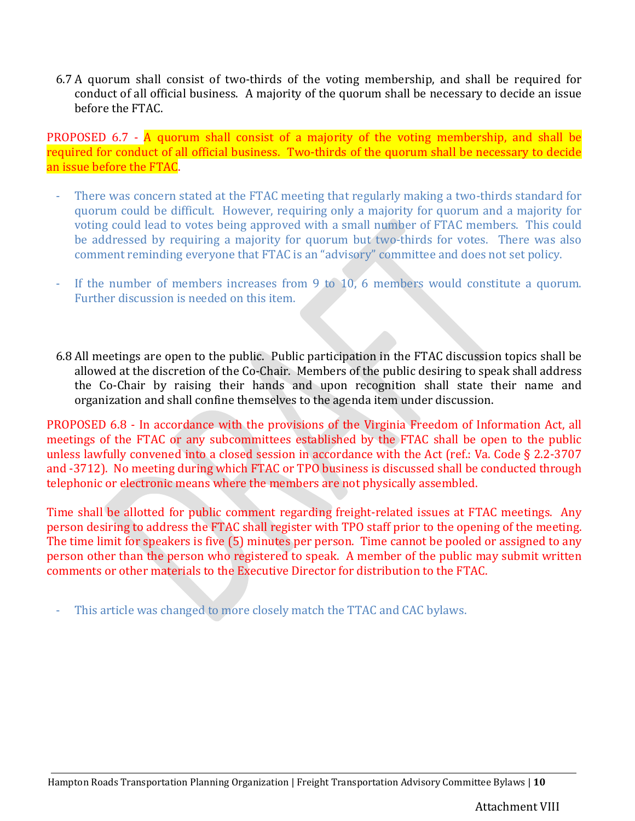6.7 A quorum shall consist of two-thirds of the voting membership, and shall be required for conduct of all official business. A majority of the quorum shall be necessary to decide an issue before the FTAC.

PROPOSED 6.7 - A quorum shall consist of a majority of the voting membership, and shall be required for conduct of all official business. Two-thirds of the quorum shall be necessary to decide an issue before the FTAC.

- There was concern stated at the FTAC meeting that regularly making a two-thirds standard for quorum could be difficult. However, requiring only a majority for quorum and a majority for voting could lead to votes being approved with a small number of FTAC members. This could be addressed by requiring a majority for quorum but two-thirds for votes. There was also comment reminding everyone that FTAC is an "advisory" committee and does not set policy.
- If the number of members increases from 9 to  $10$ , 6 members would constitute a quorum. Further discussion is needed on this item.
- 6.8 All meetings are open to the public. Public participation in the FTAC discussion topics shall be allowed at the discretion of the Co‐Chair. Members of the public desiring to speak shall address the Co‐Chair by raising their hands and upon recognition shall state their name and organization and shall confine themselves to the agenda item under discussion.

PROPOSED 6.8 - In accordance with the provisions of the Virginia Freedom of Information Act, all meetings of the FTAC or any subcommittees established by the FTAC shall be open to the public unless lawfully convened into a closed session in accordance with the Act (ref.: Va. Code § 2.2-3707 and -3712). No meeting during which FTAC or TPO business is discussed shall be conducted through telephonic or electronic means where the members are not physically assembled.

Time shall be allotted for public comment regarding freight-related issues at FTAC meetings. Any person desiring to address the FTAC shall register with TPO staff prior to the opening of the meeting. The time limit for speakers is five (5) minutes per person. Time cannot be pooled or assigned to any person other than the person who registered to speak. A member of the public may submit written comments or other materials to the Executive Director for distribution to the FTAC.

This article was changed to more closely match the TTAC and CAC bylaws.